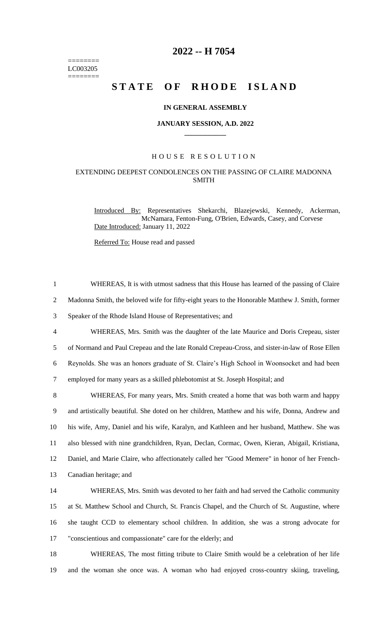======== LC003205 ========

# **2022 -- H 7054**

# **STATE OF RHODE ISLAND**

### **IN GENERAL ASSEMBLY**

#### **JANUARY SESSION, A.D. 2022 \_\_\_\_\_\_\_\_\_\_\_\_**

# H O U S E R E S O L U T I O N

# EXTENDING DEEPEST CONDOLENCES ON THE PASSING OF CLAIRE MADONNA SMITH

Introduced By: Representatives Shekarchi, Blazejewski, Kennedy, Ackerman, McNamara, Fenton-Fung, O'Brien, Edwards, Casey, and Corvese Date Introduced: January 11, 2022

Referred To: House read and passed

 WHEREAS, It is with utmost sadness that this House has learned of the passing of Claire Madonna Smith, the beloved wife for fifty-eight years to the Honorable Matthew J. Smith, former Speaker of the Rhode Island House of Representatives; and WHEREAS, Mrs. Smith was the daughter of the late Maurice and Doris Crepeau, sister of Normand and Paul Crepeau and the late Ronald Crepeau-Cross, and sister-in-law of Rose Ellen Reynolds. She was an honors graduate of St. Claire's High School in Woonsocket and had been employed for many years as a skilled phlebotomist at St. Joseph Hospital; and WHEREAS, For many years, Mrs. Smith created a home that was both warm and happy and artistically beautiful. She doted on her children, Matthew and his wife, Donna, Andrew and his wife, Amy, Daniel and his wife, Karalyn, and Kathleen and her husband, Matthew. She was also blessed with nine grandchildren, Ryan, Declan, Cormac, Owen, Kieran, Abigail, Kristiana, Daniel, and Marie Claire, who affectionately called her "Good Memere" in honor of her French- Canadian heritage; and WHEREAS, Mrs. Smith was devoted to her faith and had served the Catholic community at St. Matthew School and Church, St. Francis Chapel, and the Church of St. Augustine, where she taught CCD to elementary school children. In addition, she was a strong advocate for "conscientious and compassionate" care for the elderly; and WHEREAS, The most fitting tribute to Claire Smith would be a celebration of her life

19 and the woman she once was. A woman who had enjoyed cross-country skiing, traveling,